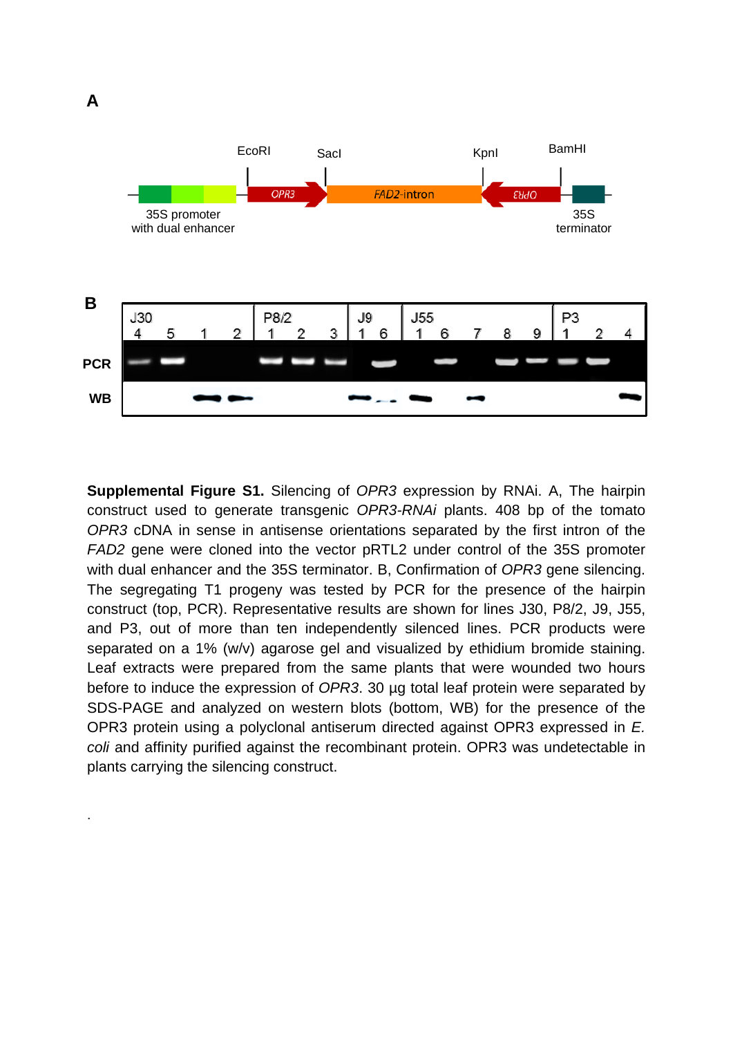.



**Supplemental Figure S1.** Silencing of *OPR3* expression by RNAi. A, The hairpin construct used to generate transgenic *OPR3-RNAi* plants. 408 bp of the tomato *OPR3* cDNA in sense in antisense orientations separated by the first intron of the *FAD2* gene were cloned into the vector pRTL2 under control of the 35S promoter with dual enhancer and the 35S terminator. B, Confirmation of *OPR3* gene silencing. The segregating T1 progeny was tested by PCR for the presence of the hairpin construct (top, PCR). Representative results are shown for lines J30, P8/2, J9, J55, and P3, out of more than ten independently silenced lines. PCR products were separated on a 1% (w/v) agarose gel and visualized by ethidium bromide staining. Leaf extracts were prepared from the same plants that were wounded two hours before to induce the expression of *OPR3*. 30 µg total leaf protein were separated by SDS-PAGE and analyzed on western blots (bottom, WB) for the presence of the OPR3 protein using a polyclonal antiserum directed against OPR3 expressed in *E. coli* and affinity purified against the recombinant protein. OPR3 was undetectable in plants carrying the silencing construct.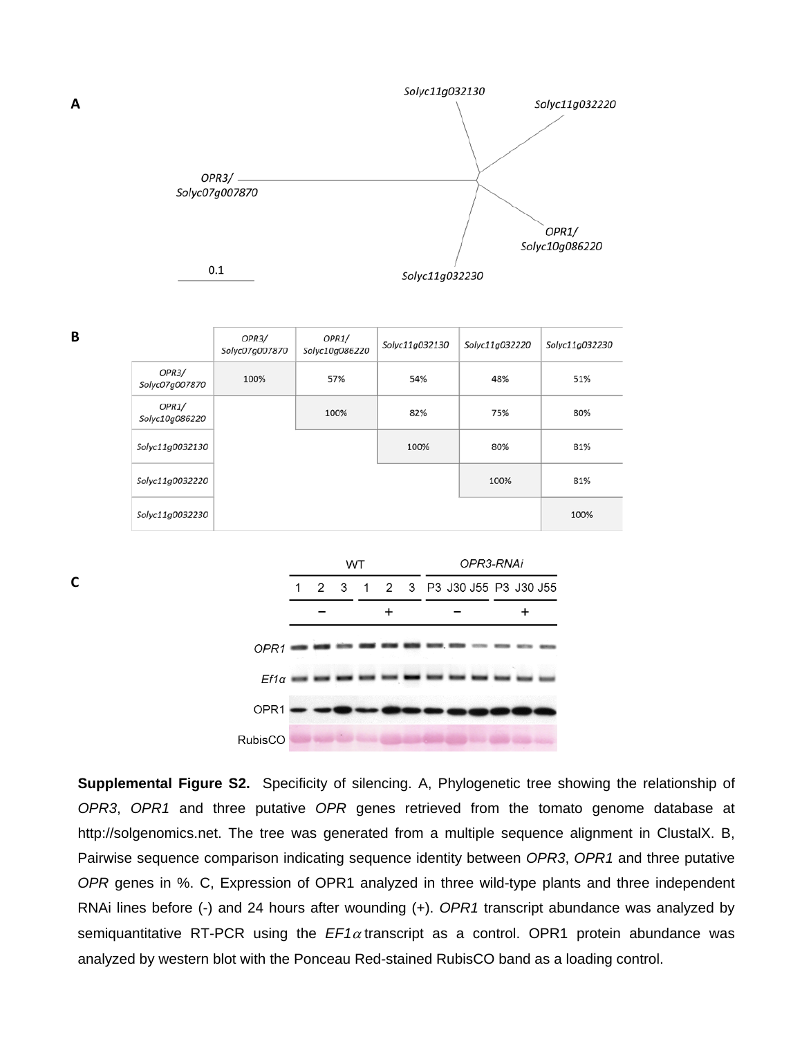

|                         | OPR3/<br>Solyc07g007870 | OPR1/<br>Solyc10g086220 | Solyc11g032130 | Solyc11g032220 | Solyc11g032230 |
|-------------------------|-------------------------|-------------------------|----------------|----------------|----------------|
| OPR3/<br>Solyc07g007870 | 100%                    | 57%                     | 54%            | 48%            | 51%            |
| OPR1/<br>Solyc10g086220 |                         | 100%                    | 82%            | 75%            | 80%            |
| Solyc11g0032130         |                         |                         | 100%           | 80%            | 81%            |
| Solyc11g0032220         |                         |                         |                | 100%           | 81%            |
| Solyc11g0032230         |                         |                         |                |                | 100%           |

**WT** OPR3-RNAi 1  $\overline{2}$ 3  $\mathbf{1}$  $\overline{2}$ 3 P3 J30 J55 P3 J30 J55  $\ddot{}$  $\ddot{}$ OPR1  $Ef1\alpha$ OPR1 RubisCO

**Supplemental Figure S2.** Specificity of silencing. A, Phylogenetic tree showing the relationship of *OPR3*, *OPR1* and three putative *OPR* genes retrieved from the tomato genome database at http://solgenomics.net. The tree was generated from a multiple sequence alignment in ClustalX. B, Pairwise sequence comparison indicating sequence identity between *OPR3*, *OPR1* and three putative *OPR* genes in %. C, Expression of OPR1 analyzed in three wild-type plants and three independent RNAi lines before (-) and 24 hours after wounding (+). *OPR1* transcript abundance was analyzed by semiquantitative RT-PCR using the  $EFA$  transcript as a control. OPR1 protein abundance was analyzed by western blot with the Ponceau Red-stained RubisCO band as a loading control.

**B**

**C**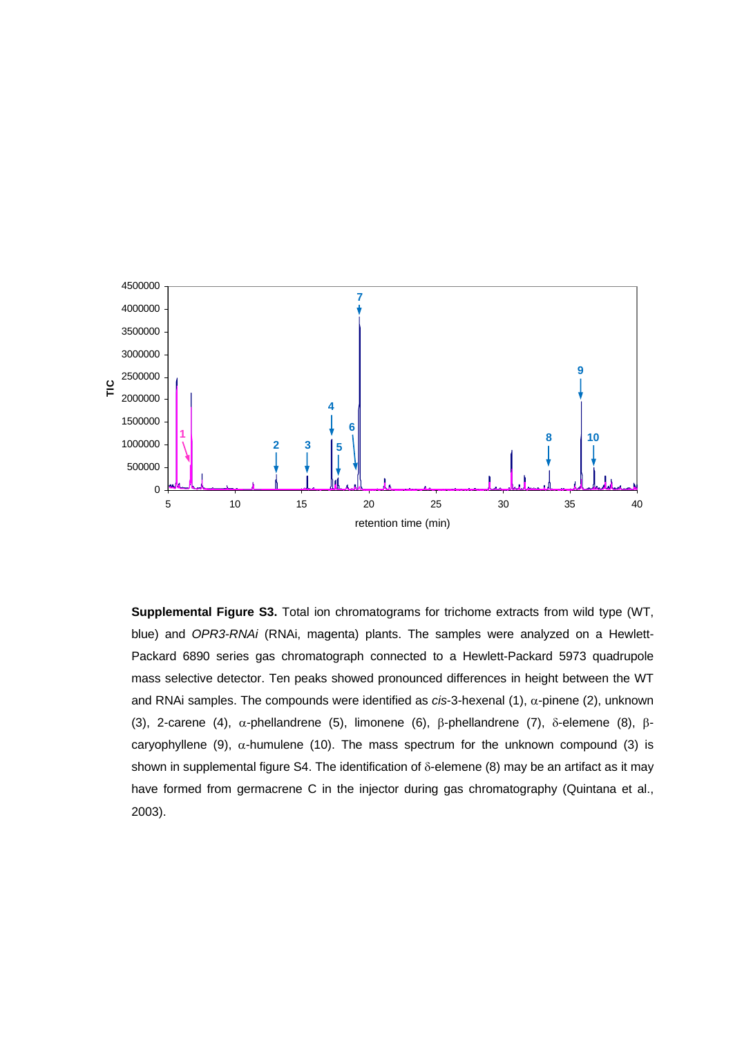

**Supplemental Figure S3.** Total ion chromatograms for trichome extracts from wild type (WT, blue) and *OPR3-RNAi* (RNAi, magenta) plants. The samples were analyzed on a Hewlett-Packard 6890 series gas chromatograph connected to a Hewlett-Packard 5973 quadrupole mass selective detector. Ten peaks showed pronounced differences in height between the WT and RNAi samples. The compounds were identified as  $cis$ -3-hexenal  $(1)$ ,  $\alpha$ -pinene  $(2)$ , unknown (3), 2-carene (4),  $\alpha$ -phellandrene (5), limonene (6),  $\beta$ -phellandrene (7),  $\delta$ -elemene (8),  $\beta$ caryophyllene (9),  $\alpha$ -humulene (10). The mass spectrum for the unknown compound (3) is shown in supplemental figure S4. The identification of  $\delta$ -elemene (8) may be an artifact as it may have formed from germacrene C in the injector during gas chromatography (Quintana et al., 2003).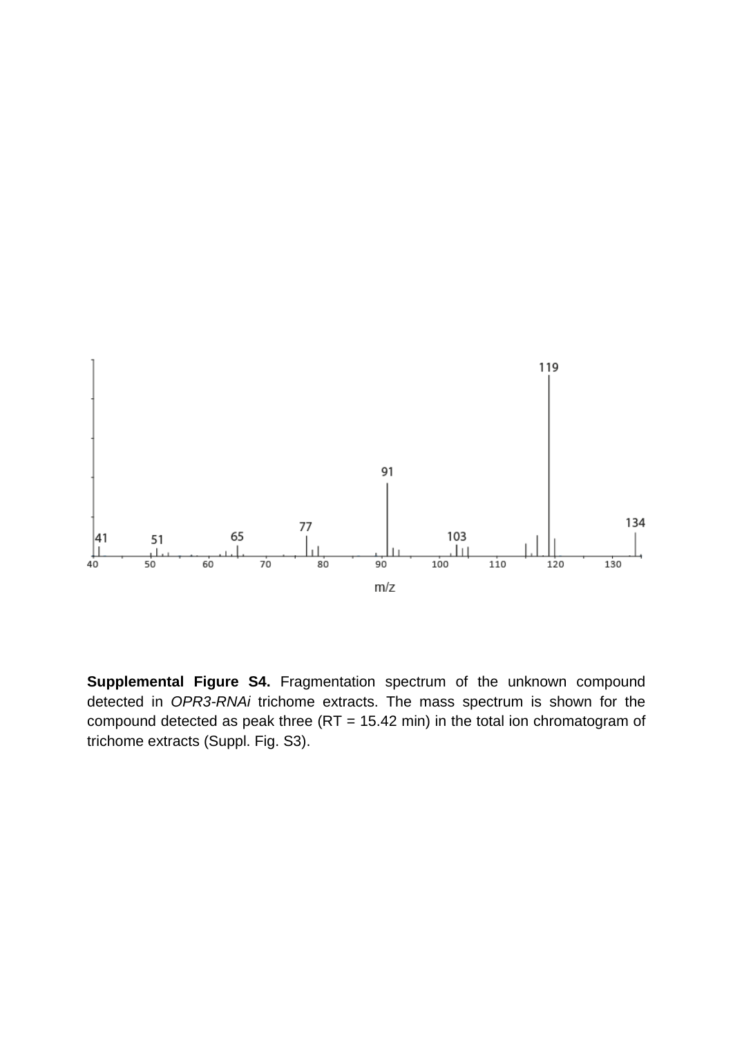

**Supplemental Figure S4.** Fragmentation spectrum of the unknown compound detected in *OPR3-RNAi* trichome extracts. The mass spectrum is shown for the compound detected as peak three (RT = 15.42 min) in the total ion chromatogram of trichome extracts (Suppl. Fig. S3).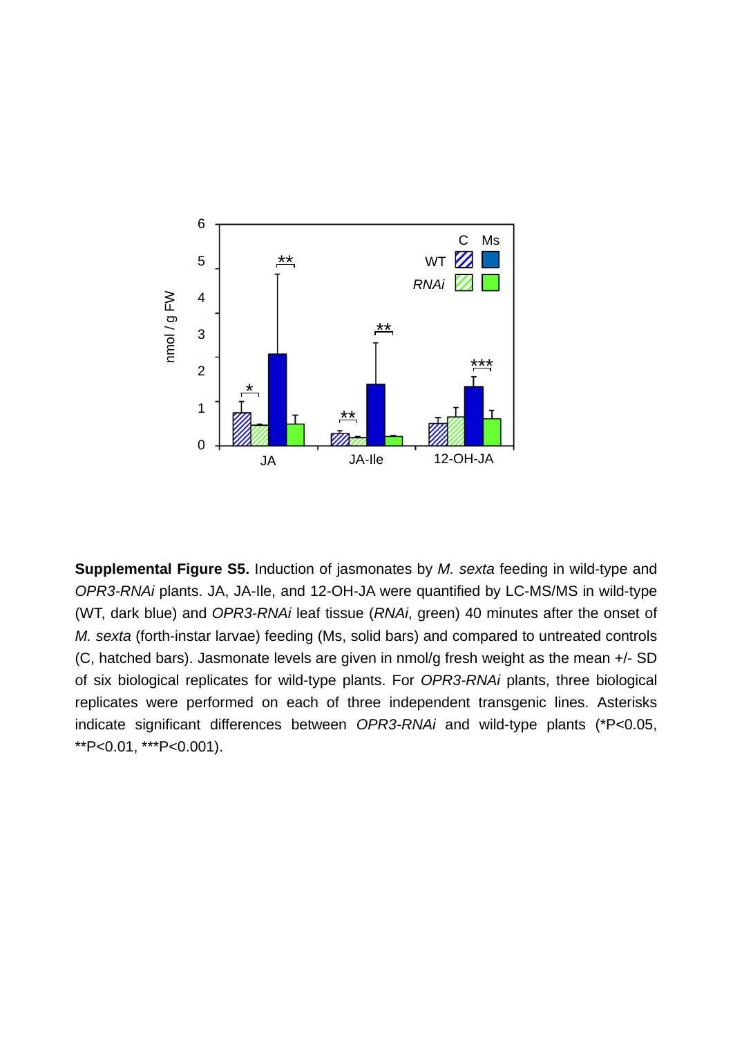

**Supplemental Figure S5.** Induction of jasmonates by *M. sexta* feeding in wild-type and *OPR3-RNAi* plants. JA, JA-Ile, and 12-OH-JA were quantified by LC-MS/MS in wild-type (WT, dark blue) and *OPR3-RNAi* leaf tissue (*RNAi*, green) 40 minutes after the onset of *M. sexta* (forth-instar larvae) feeding (Ms, solid bars) and compared to untreated controls (C, hatched bars). Jasmonate levels are given in nmol/g fresh weight as the mean +/- SD of six biological replicates for wild-type plants. For *OPR3-RNAi* plants, three biological replicates were performed on each of three independent transgenic lines. Asterisks indicate significant differences between *OPR3-RNAi* and wild-type plants (\*P<0.05, \*\*P<0.01, \*\*\*P<0.001).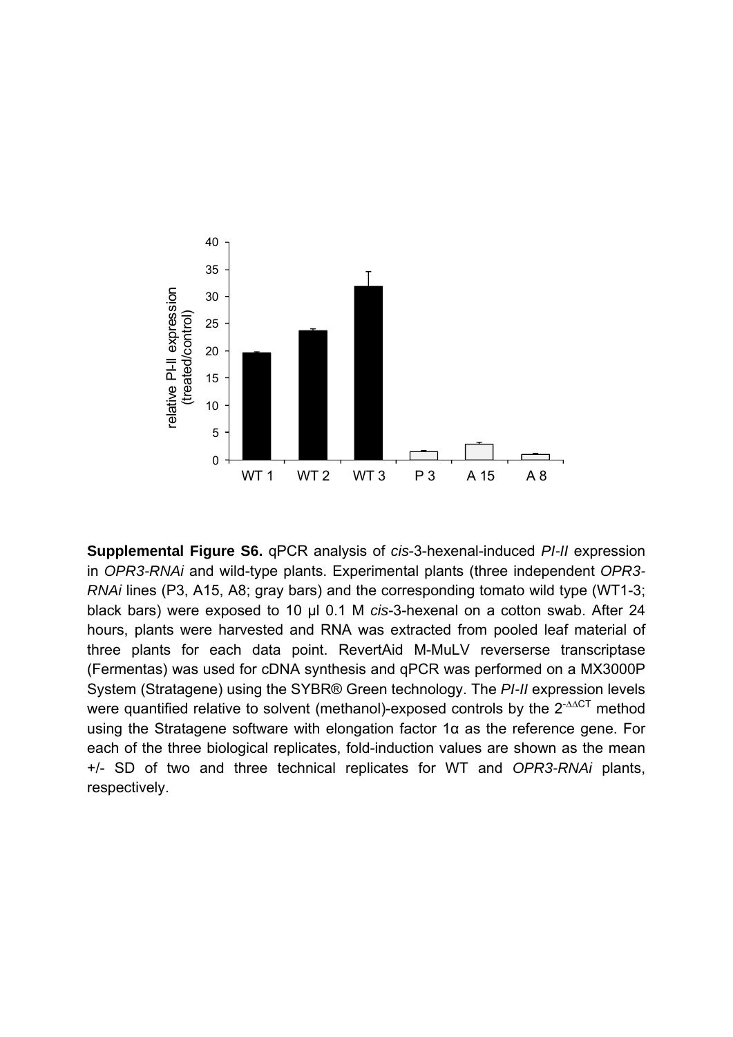

**Supplemental Figure S6.** qPCR analysis of *cis*-3-hexenal-induced *PI-II* expression in *OPR3-RNAi* and wild-type plants. Experimental plants (three independent *OPR3- RNAi* lines (P3, A15, A8; gray bars) and the corresponding tomato wild type (WT1-3; black bars) were exposed to 10 µl 0.1 M *cis*-3-hexenal on a cotton swab. After 24 hours, plants were harvested and RNA was extracted from pooled leaf material of three plants for each data point. RevertAid M-MuLV reverserse transcriptase (Fermentas) was used for cDNA synthesis and qPCR was performed on a MX3000P System (Stratagene) using the SYBR® Green technology. The *PI-II* expression levels were quantified relative to solvent (methanol)-exposed controls by the  $2^{-AACT}$  method using the Stratagene software with elongation factor 1α as the reference gene. For each of the three biological replicates, fold-induction values are shown as the mean +/- SD of two and three technical replicates for WT and *OPR3-RNAi* plants, respectively.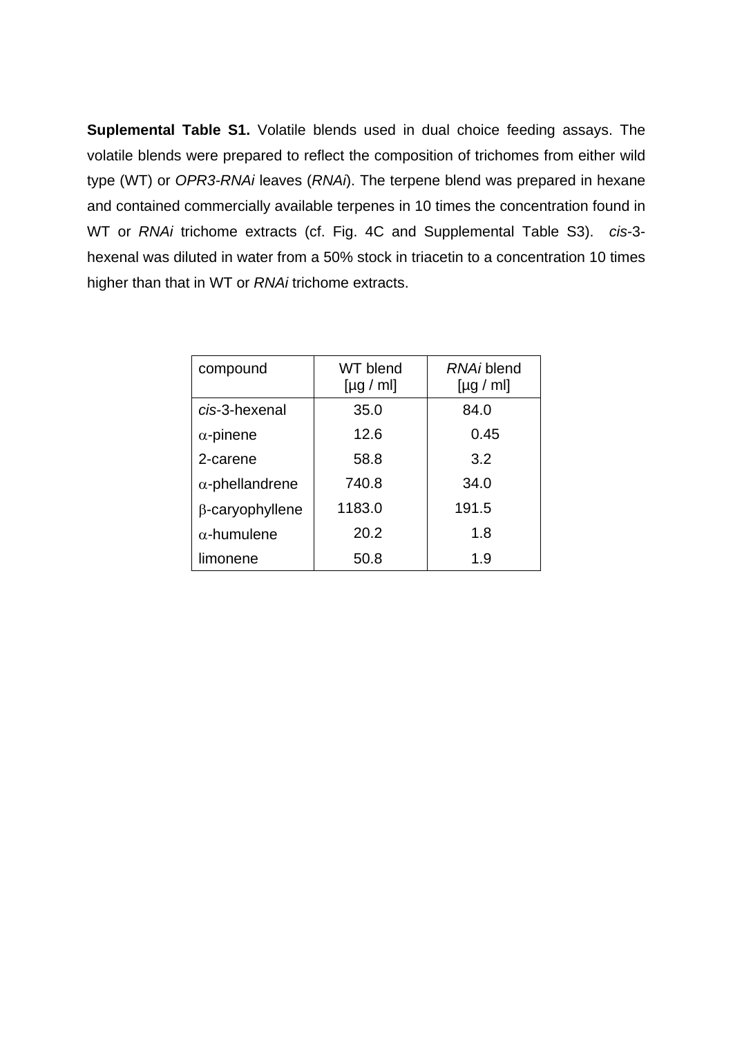**Suplemental Table S1.** Volatile blends used in dual choice feeding assays. The volatile blends were prepared to reflect the composition of trichomes from either wild type (WT) or *OPR3-RNAi* leaves (*RNAi*). The terpene blend was prepared in hexane and contained commercially available terpenes in 10 times the concentration found in WT or *RNAi* trichome extracts (cf. Fig. 4C and Supplemental Table S3). *cis*-3 hexenal was diluted in water from a 50% stock in triacetin to a concentration 10 times higher than that in WT or *RNAi* trichome extracts.

| compound               | WT blend<br>[µg / ml] | RNAi blend<br>[µg / ml] |  |  |
|------------------------|-----------------------|-------------------------|--|--|
| cis-3-hexenal          | 35.0                  | 84.0                    |  |  |
| $\alpha$ -pinene       | 12.6                  | 0.45                    |  |  |
| 2-carene               | 58.8                  | 3.2                     |  |  |
| $\alpha$ -phellandrene | 740.8                 | 34.0                    |  |  |
| $\beta$ -caryophyllene | 1183.0                | 191.5                   |  |  |
| $\alpha$ -humulene     | 20.2                  | 1.8                     |  |  |
| limonene               | 50.8                  | 1.9                     |  |  |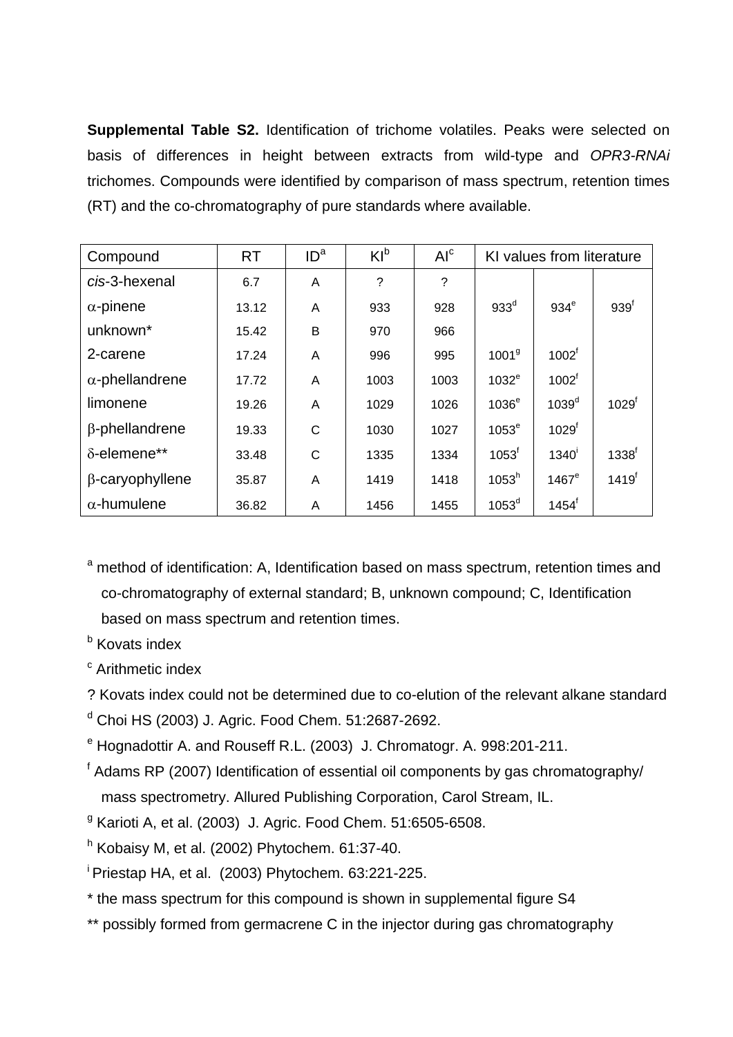**Supplemental Table S2.** Identification of trichome volatiles. Peaks were selected on basis of differences in height between extracts from wild-type and *OPR3-RNAi* trichomes. Compounds were identified by comparison of mass spectrum, retention times (RT) and the co-chromatography of pure standards where available.

| Compound               | <b>RT</b> | ID <sup>a</sup> | $KI^b$ | AI <sup>c</sup> |                   | KI values from literature |                   |
|------------------------|-----------|-----------------|--------|-----------------|-------------------|---------------------------|-------------------|
| cis-3-hexenal          | 6.7       | A               | ?      | ?               |                   |                           |                   |
| $\alpha$ -pinene       | 13.12     | A               | 933    | 928             | 933 <sup>d</sup>  | $934^e$                   | 939 <sup>f</sup>  |
| unknown*               | 15.42     | B               | 970    | 966             |                   |                           |                   |
| 2-carene               | 17.24     | A               | 996    | 995             | 1001 <sup>9</sup> | 1002 <sup>f</sup>         |                   |
| $\alpha$ -phellandrene | 17.72     | A               | 1003   | 1003            | 1032 <sup>e</sup> | 1002 <sup>f</sup>         |                   |
| limonene               | 19.26     | A               | 1029   | 1026            | 1036 <sup>e</sup> | 1039 <sup>d</sup>         | 1029 <sup>f</sup> |
| $\beta$ -phellandrene  | 19.33     | C               | 1030   | 1027            | $1053^e$          | 1029 <sup>f</sup>         |                   |
| $\delta$ -elemene**    | 33.48     | C               | 1335   | 1334            | 1053 <sup>f</sup> | 1340 <sup>1</sup>         | 1338 <sup>f</sup> |
| $\beta$ -caryophyllene | 35.87     | A               | 1419   | 1418            | 1053 <sup>h</sup> | $1467^\mathrm{e}$         | 1419 <sup>f</sup> |
| $\alpha$ -humulene     | 36.82     | A               | 1456   | 1455            | 1053 <sup>d</sup> | $1454^t$                  |                   |

<sup>a</sup> method of identification: A, Identification based on mass spectrum, retention times and co-chromatography of external standard; B, unknown compound; C, Identification based on mass spectrum and retention times.

- **b** Kovats index
- <sup>c</sup> Arithmetic index

? Kovats index could not be determined due to co-elution of the relevant alkane standard

d Choi HS (2003) J. Agric. Food Chem. 51:2687-2692.

- <sup>e</sup> Hognadottir A. and Rouseff R.L. (2003) J. Chromatogr. A. 998:201-211.
- <sup>f</sup> Adams RP (2007) Identification of essential oil components by gas chromatography/ mass spectrometry. Allured Publishing Corporation, Carol Stream, IL.
- <sup>g</sup> Karioti A, et al. (2003) J. Agric. Food Chem. 51:6505-6508.

 $h$  Kobaisy M, et al. (2002) Phytochem. 61:37-40.

i Priestap HA, et al. (2003) Phytochem. 63:221-225.

- \* the mass spectrum for this compound is shown in supplemental figure S4
- \*\* possibly formed from germacrene C in the injector during gas chromatography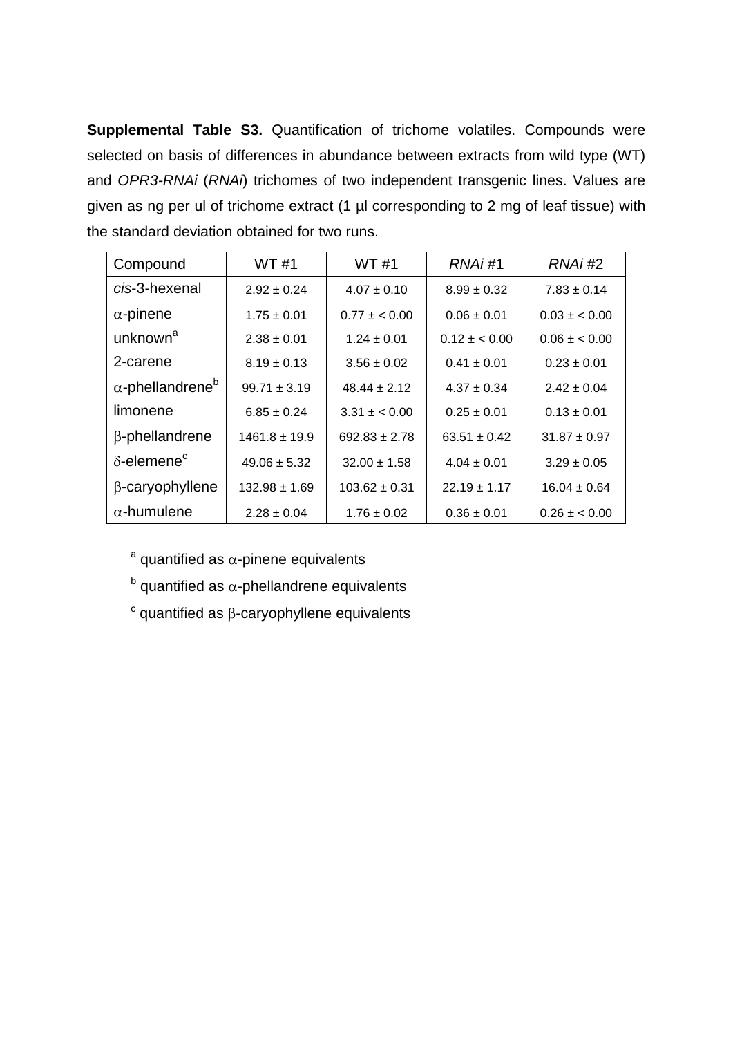**Supplemental Table S3.** Quantification of trichome volatiles. Compounds were selected on basis of differences in abundance between extracts from wild type (WT) and *OPR3-RNAi* (*RNAi*) trichomes of two independent transgenic lines. Values are given as ng per ul of trichome extract (1 µl corresponding to 2 mg of leaf tissue) with the standard deviation obtained for two runs.

| Compound                            | <b>WT#1</b>       | <b>WT#1</b>       | RNAi#1           | RNAi#2           |
|-------------------------------------|-------------------|-------------------|------------------|------------------|
| cis-3-hexenal                       | $2.92 \pm 0.24$   | $4.07 \pm 0.10$   | $8.99 \pm 0.32$  | $7.83 \pm 0.14$  |
| $\alpha$ -pinene                    | $1.75 \pm 0.01$   | $0.77 \pm 0.00$   | $0.06 \pm 0.01$  | $0.03 + 0.00$    |
| unknown <sup>a</sup>                | $2.38 \pm 0.01$   | $1.24 \pm 0.01$   | $0.12 + 0.00$    | $0.06 \pm 0.00$  |
| 2-carene                            | $8.19 \pm 0.13$   | $3.56 \pm 0.02$   | $0.41 \pm 0.01$  | $0.23 \pm 0.01$  |
| $\alpha$ -phellandrene <sup>b</sup> | $99.71 \pm 3.19$  | $48.44 \pm 2.12$  | $4.37 + 0.34$    | $2.42 \pm 0.04$  |
| limonene                            | $6.85 \pm 0.24$   | $3.31 \pm 0.00$   | $0.25 \pm 0.01$  | $0.13 \pm 0.01$  |
| $\beta$ -phellandrene               | $1461.8 \pm 19.9$ | $692.83 \pm 2.78$ | $63.51 \pm 0.42$ | $31.87 \pm 0.97$ |
| $\delta$ -elemene $\epsilon$        | $49.06 \pm 5.32$  | $32.00 \pm 1.58$  | $4.04 \pm 0.01$  | $3.29 \pm 0.05$  |
| $\beta$ -caryophyllene              | $132.98 \pm 1.69$ | $103.62 \pm 0.31$ | $22.19 \pm 1.17$ | $16.04 \pm 0.64$ |
| $\alpha$ -humulene                  | $2.28 \pm 0.04$   | $1.76 \pm 0.02$   | $0.36 \pm 0.01$  | $0.26 \pm 0.00$  |

 $a$  quantified as  $\alpha$ -pinene equivalents

 $b$  quantified as  $\alpha$ -phellandrene equivalents

 $\degree$  quantified as  $\beta$ -caryophyllene equivalents